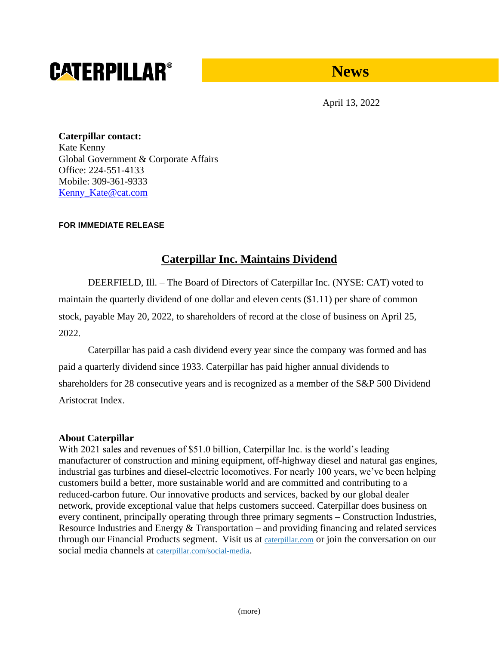# **CATERPILLAR®**

## **News**

April 13, 2022

**Caterpillar contact:** Kate Kenny Global Government & Corporate Affairs Office: 224-551-4133 Mobile: 309-361-9333 [Kenny\\_Kate@cat.com](mailto:Kenny_Kate@cat.com)

## **FOR IMMEDIATE RELEASE**

## **Caterpillar Inc. Maintains Dividend**

DEERFIELD, Ill. – The Board of Directors of Caterpillar Inc. (NYSE: CAT) voted to maintain the quarterly dividend of one dollar and eleven cents (\$1.11) per share of common stock, payable May 20, 2022, to shareholders of record at the close of business on April 25, 2022.

Caterpillar has paid a cash dividend every year since the company was formed and has paid a quarterly dividend since 1933. Caterpillar has paid higher annual dividends to shareholders for 28 consecutive years and is recognized as a member of the S&P 500 Dividend Aristocrat Index.

## **About Caterpillar**

With 2021 sales and revenues of \$51.0 billion, Caterpillar Inc. is the world's leading manufacturer of construction and mining equipment, off-highway diesel and natural gas engines, industrial gas turbines and diesel-electric locomotives. For nearly 100 years, we've been helping customers build a better, more sustainable world and are committed and contributing to a reduced-carbon future. Our innovative products and services, backed by our global dealer network, provide exceptional value that helps customers succeed. Caterpillar does business on every continent, principally operating through three primary segments – Construction Industries, Resource Industries and Energy & Transportation – and providing financing and related services through our Financial Products segment. Visit us at [caterpillar.com](https://www.caterpillar.com/) or join the conversation on our social media channels at [caterpillar.com/social-media](https://www.caterpillar.com/social).